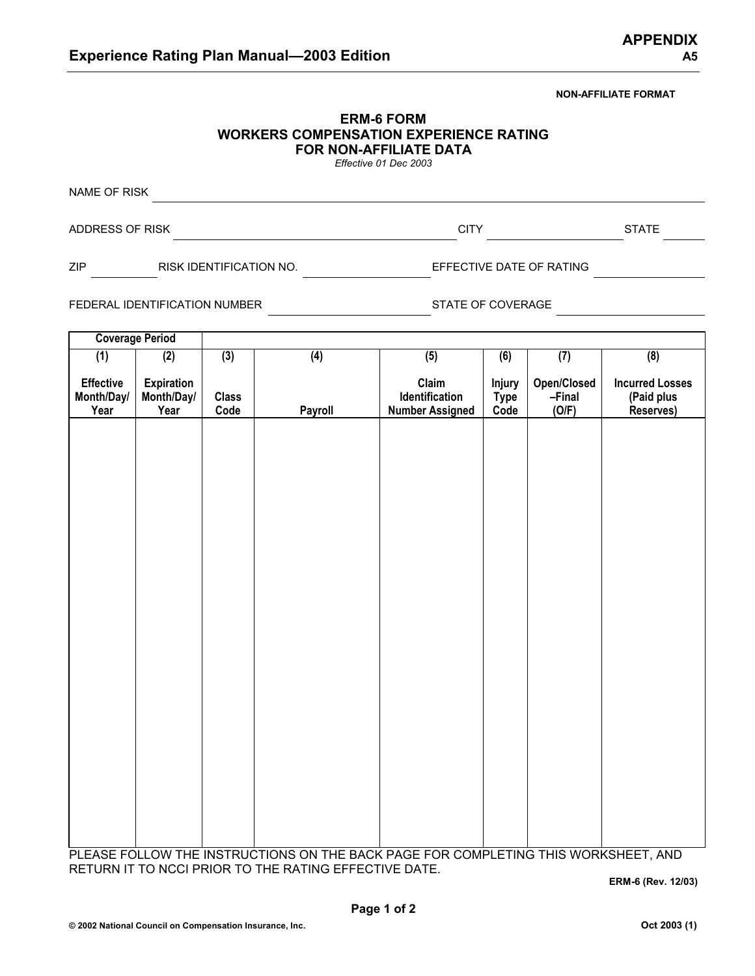## **NON-AFFILIATE FORMAT**

| <b>ERM-6 FORM</b>                      |
|----------------------------------------|
| WORKERS COMPENSATION EXPERIENCE RATING |
| <b>FOR NON-AFFILIATE DATA</b>          |
| Effective 01 Dec 2002                  |

*Effective 01 Dec 2003*

NAME OF RISK **NAME OF RISK** ADDRESS OF RISK CITY STATE

ZIP RISK IDENTIFICATION NO. EFFECTIVE DATE OF RATING

FEDERAL IDENTIFICATION NUMBER STATE OF COVERAGE

**Coverage Period (1) Effective Month/Day/ Year (2) Expiration Month/Day/ Year (3) Class Code (4) Payroll (5) Claim Identification Number Assigned (6) Injury Type Code (7) Open/Closed –Final (O/F) (8) Incurred Losses (Paid plus Reserves)**

PLEASE FOLLOW THE INSTRUCTIONS ON THE BACK PAGE FOR COMPLETING THIS WORKSHEET, AND RETURN IT TO NCCI PRIOR TO THE RATING EFFECTIVE DATE.

**ERM-6 (Rev. 12/03)**